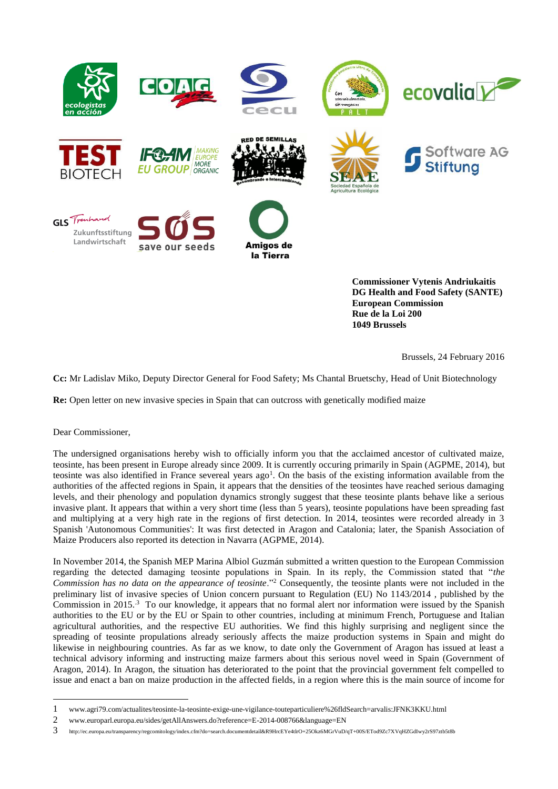

**DG Health and Food Safety (SANTE) European Commission Rue de la Loi 200 1049 Brussels**

Brussels, 24 February 2016

**Cc:** Mr Ladislav Miko, Deputy Director General for Food Safety; Ms Chantal Bruetschy, Head of Unit Biotechnology

**Re:** Open letter on new invasive species in Spain that can outcross with genetically modified maize

## Dear Commissioner,

-

The undersigned organisations hereby wish to officially inform you that the acclaimed ancestor of cultivated maize, teosinte, has been present in Europe already since 2009. It is currently occuring primarily in Spain (AGPME, 2014), but teosinte was also identified in France severeal years ago<sup>1</sup>. On the basis of the existing information available from the authorities of the affected regions in Spain, it appears that the densities of the teosintes have reached serious damaging levels, and their phenology and population dynamics strongly suggest that these teosinte plants behave like a serious invasive plant. It appears that within a very short time (less than 5 years), teosinte populations have been spreading fast and multiplying at a very high rate in the regions of first detection. In 2014, teosintes were recorded already in 3 Spanish 'Autonomous Communities': It was first detected in Aragon and Catalonia; later, the Spanish Association of Maize Producers also reported its detection in Navarra (AGPME, 2014).

In November 2014, the Spanish MEP Marina Albiol Guzmán submitted a written question to the European Commission regarding the detected damaging teosinte populations in Spain. In its reply, the Commission stated that "*the Commission has no data on the appearance of teosinte*."<sup>2</sup> Consequently, the teosinte plants were not included in the preliminary list of invasive species of Union concern pursuant to Regulation (EU) No 1143/2014 , published by the Commission in 2015.<sup>3</sup> To our knowledge, it appears that no formal alert nor information were issued by the Spanish authorities to the EU or by the EU or Spain to other countries, including at minimum French, Portuguese and Italian agricultural authorities, and the respective EU authorities. We find this highly surprising and negligent since the spreading of teosinte propulations already seriously affects the maize production systems in Spain and might do likewise in neighbouring countries. As far as we know, to date only the Government of Aragon has issued at least a technical advisory informing and instructing maize farmers about this serious novel weed in Spain (Government of Aragon, 2014). In Aragon, the situation has deteriorated to the point that the provincial government felt compelled to issue and enact a ban on maize production in the affected fields, in a region where this is the main source of income for

<sup>1</sup> www.agri79.com/actualites/teosinte-la-teosinte-exige-une-vigilance-touteparticuliere%26fldSearch=arvalis:JFNK3KKU.html

<sup>2</sup> [www.europarl.europa.eu/sides/getAllAnswers.do?reference=E-2014-008766&language=EN](http://www.europarl.europa.eu/sides/getAllAnswers.do?reference=E-2014-008766&language=EN)

<sup>3</sup> <http://ec.europa.eu/transparency/regcomitology/index.cfm?do=search.documentdetail&R9HrcEYe4tlrO+25Okz6MGrVuD/qT+00S/ETod9Zc7XVqHZGdIwy2rS97ztb5t8b>